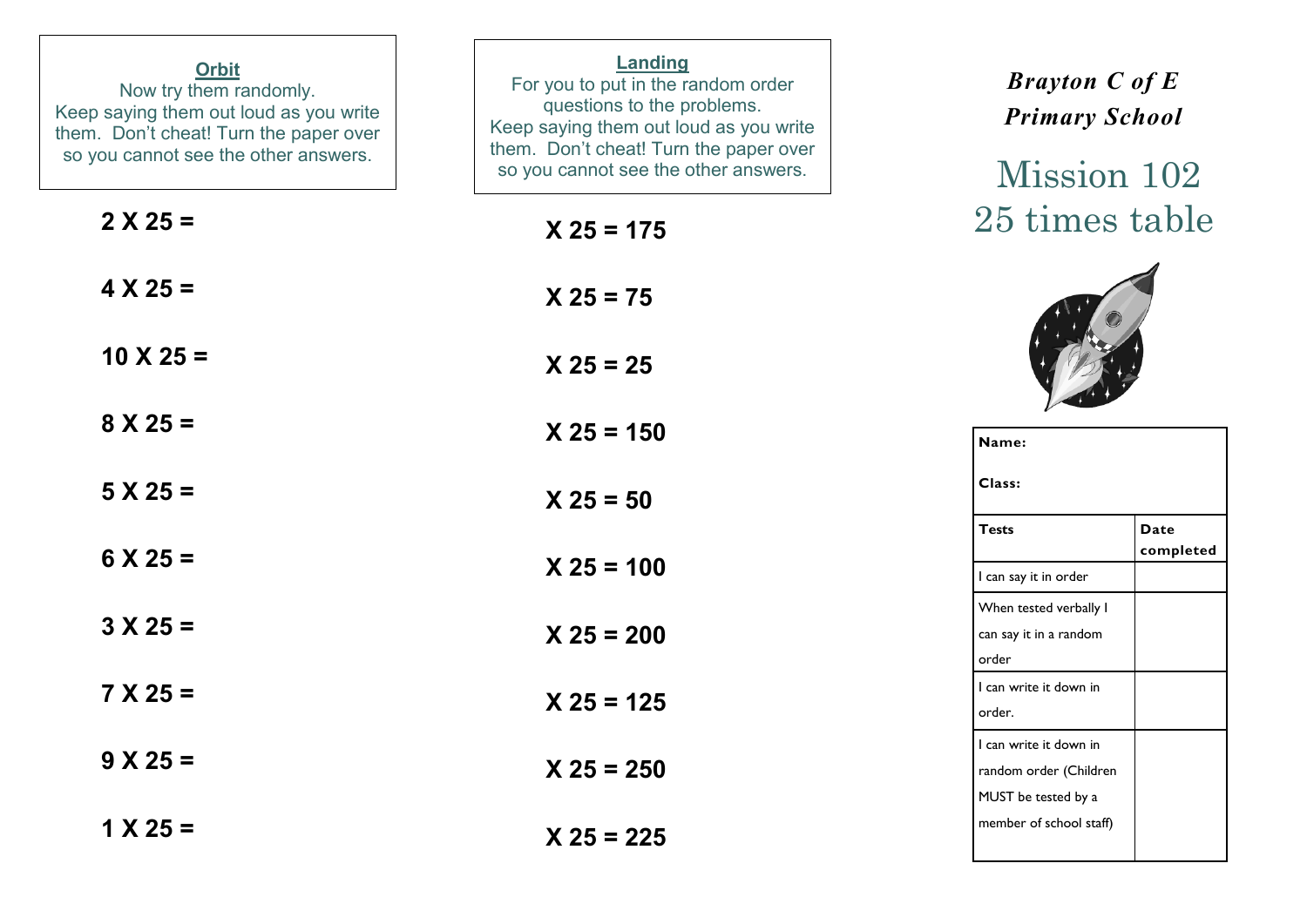| <b>Orbit</b><br>Now try them randomly.<br>Keep saying them out loud as you write<br>them. Don't cheat! Turn the paper over<br>so you cannot see the other answers. | Landing<br>For you to put in the random order<br>questions to the problems.<br>Keep saying them out loud as you write<br>them. Don't cheat! Turn the paper over<br>so you cannot see the other answers. | <b>Brayton C of E</b><br><b>Primary School</b><br>Mission 102           |
|--------------------------------------------------------------------------------------------------------------------------------------------------------------------|---------------------------------------------------------------------------------------------------------------------------------------------------------------------------------------------------------|-------------------------------------------------------------------------|
| $2 X 25 =$                                                                                                                                                         | $X$ 25 = 175                                                                                                                                                                                            | 25 times table                                                          |
| $4 X 25 =$                                                                                                                                                         | $X 25 = 75$                                                                                                                                                                                             |                                                                         |
| $10 \times 25 =$                                                                                                                                                   | $X 25 = 25$                                                                                                                                                                                             |                                                                         |
| $8 X 25 =$                                                                                                                                                         | $X 25 = 150$                                                                                                                                                                                            | Name:                                                                   |
| $5 X 25 =$                                                                                                                                                         | $X 25 = 50$                                                                                                                                                                                             | Class:                                                                  |
| $6 \times 25 =$                                                                                                                                                    | $X 25 = 100$                                                                                                                                                                                            | <b>Tests</b><br>Date<br>completed<br>I can say it in order              |
| $3 X 25 =$                                                                                                                                                         | $X 25 = 200$                                                                                                                                                                                            | When tested verbally I<br>can say it in a random<br>order               |
| $7 X 25 =$                                                                                                                                                         | $X 25 = 125$                                                                                                                                                                                            | I can write it down in<br>order.                                        |
| $9 X 25 =$                                                                                                                                                         | $X 25 = 250$                                                                                                                                                                                            | I can write it down in<br>random order (Children<br>MUST be tested by a |
| $1 X 25 =$                                                                                                                                                         | $X 25 = 225$                                                                                                                                                                                            | member of school staff)                                                 |